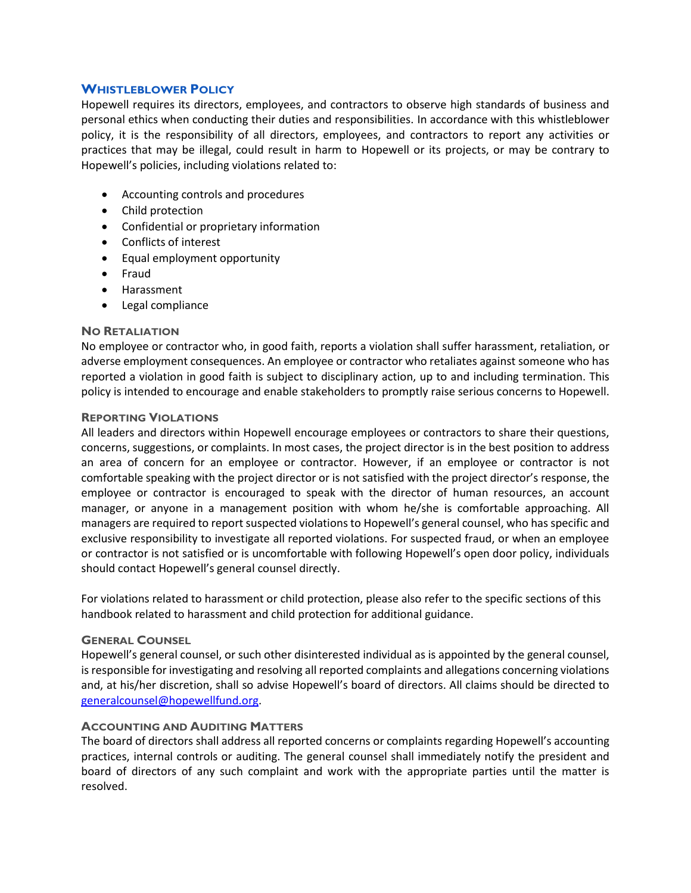## **WHISTLEBLOWER POLICY**

Hopewell requires its directors, employees, and contractors to observe high standards of business and personal ethics when conducting their duties and responsibilities. In accordance with this whistleblower policy, it is the responsibility of all directors, employees, and contractors to report any activities or practices that may be illegal, could result in harm to Hopewell or its projects, or may be contrary to Hopewell's policies, including violations related to:

- Accounting controls and procedures
- Child protection
- Confidential or proprietary information
- Conflicts of interest
- Equal employment opportunity
- Fraud
- Harassment
- Legal compliance

#### **NO RETALIATION**

No employee or contractor who, in good faith, reports a violation shall suffer harassment, retaliation, or adverse employment consequences. An employee or contractor who retaliates against someone who has reported a violation in good faith is subject to disciplinary action, up to and including termination. This policy is intended to encourage and enable stakeholders to promptly raise serious concerns to Hopewell.

#### **REPORTING VIOLATIONS**

All leaders and directors within Hopewell encourage employees or contractors to share their questions, concerns, suggestions, or complaints. In most cases, the project director is in the best position to address an area of concern for an employee or contractor. However, if an employee or contractor is not comfortable speaking with the project director or is not satisfied with the project director's response, the employee or contractor is encouraged to speak with the director of human resources, an account manager, or anyone in a management position with whom he/she is comfortable approaching. All managers are required to report suspected violations to Hopewell's general counsel, who has specific and exclusive responsibility to investigate all reported violations. For suspected fraud, or when an employee or contractor is not satisfied or is uncomfortable with following Hopewell's open door policy, individuals should contact Hopewell's general counsel directly.

For violations related to harassment or child protection, please also refer to the specific sections of this handbook related to harassment and child protection for additional guidance.

## **GENERAL COUNSEL**

Hopewell's general counsel, or such other disinterested individual as is appointed by the general counsel, is responsible for investigating and resolving all reported complaints and allegations concerning violations and, at his/her discretion, shall so advise Hopewell's board of directors. All claims should be directed to [generalcounsel@hopewellfund.org.](mailto:generalcounsel@hopewellfund.org)

## **ACCOUNTING AND AUDITING MATTERS**

The board of directors shall address all reported concerns or complaints regarding Hopewell's accounting practices, internal controls or auditing. The general counsel shall immediately notify the president and board of directors of any such complaint and work with the appropriate parties until the matter is resolved.